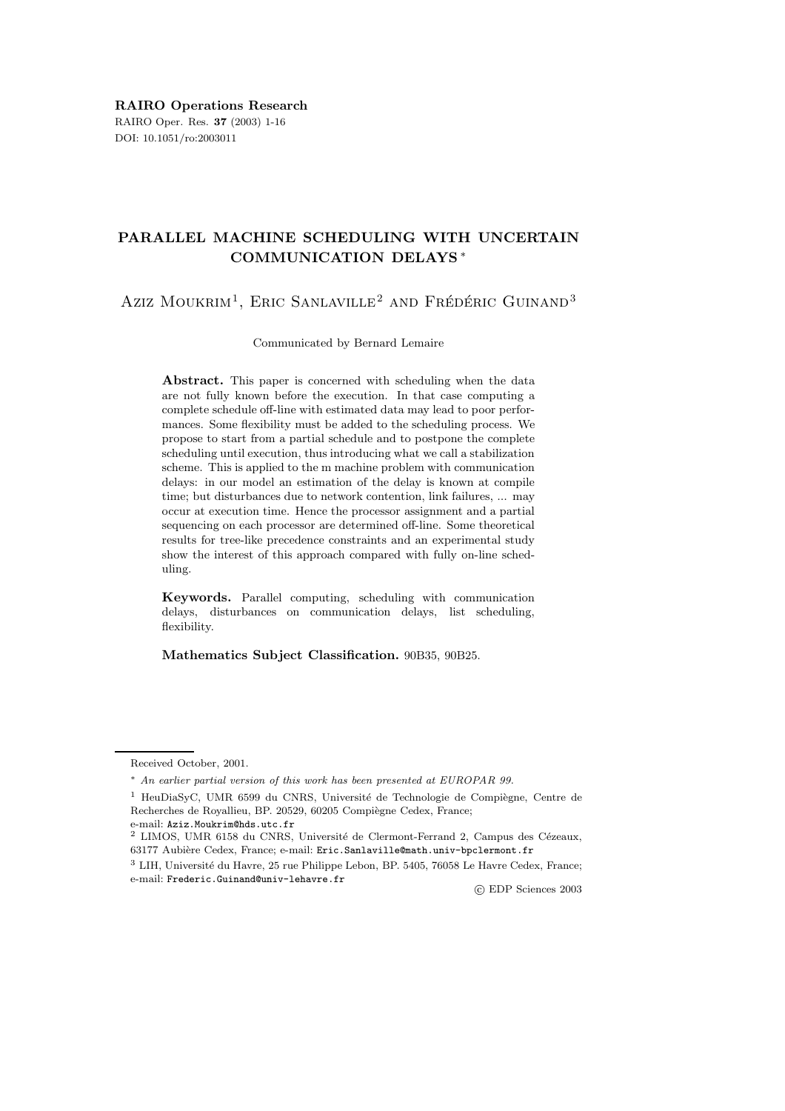**RAIRO Operations Research** RAIRO Oper. Res. **37** (2003) 1-16 DOI: 10.1051/ro:2003011

# **PARALLEL MACHINE SCHEDULING WITH UNCERTAIN COMMUNICATION DELAYS** ∗

Aziz MOUKRIM<sup>1</sup>, ERIC SANLAVILLE<sup>2</sup> AND FRÉDÉRIC GUINAND<sup>3</sup>

Communicated by Bernard Lemaire

**Abstract.** This paper is concerned with scheduling when the data are not fully known before the execution. In that case computing a complete schedule off-line with estimated data may lead to poor performances. Some flexibility must be added to the scheduling process. We propose to start from a partial schedule and to postpone the complete scheduling until execution, thus introducing what we call a stabilization scheme. This is applied to the m machine problem with communication delays: in our model an estimation of the delay is known at compile time; but disturbances due to network contention, link failures, ... may occur at execution time. Hence the processor assignment and a partial sequencing on each processor are determined off-line. Some theoretical results for tree-like precedence constraints and an experimental study show the interest of this approach compared with fully on-line scheduling.

**Keywords.** Parallel computing, scheduling with communication delays, disturbances on communication delays, list scheduling, flexibility.

**Mathematics Subject Classification.** 90B35, 90B25.

Received October, 2001.

<sup>∗</sup> *An earlier partial version of this work has been presented at EUROPAR 99.*

 $<sup>1</sup>$  HeuDiaSyC, UMR 6599 du CNRS, Université de Technologie de Compiègne, Centre de</sup> Recherches de Royallieu, BP. 20529, 60205 Compiègne Cedex, France;

e-mail: Aziz.Moukrim@hds.utc.fr

 $^2$  LIMOS, UMR 6158 du CNRS, Université de Clermont-Ferrand 2, Campus des Cézeaux,  $\,$ 63177 Aubière Cedex, France; e-mail: Eric.Sanlaville@math.univ-bpclermont.fr

<sup>&</sup>lt;sup>3</sup> LIH, Université du Havre, 25 rue Philippe Lebon, BP. 5405, 76058 Le Havre Cedex, France; e-mail: Frederic.Guinand@univ-lehavre.fr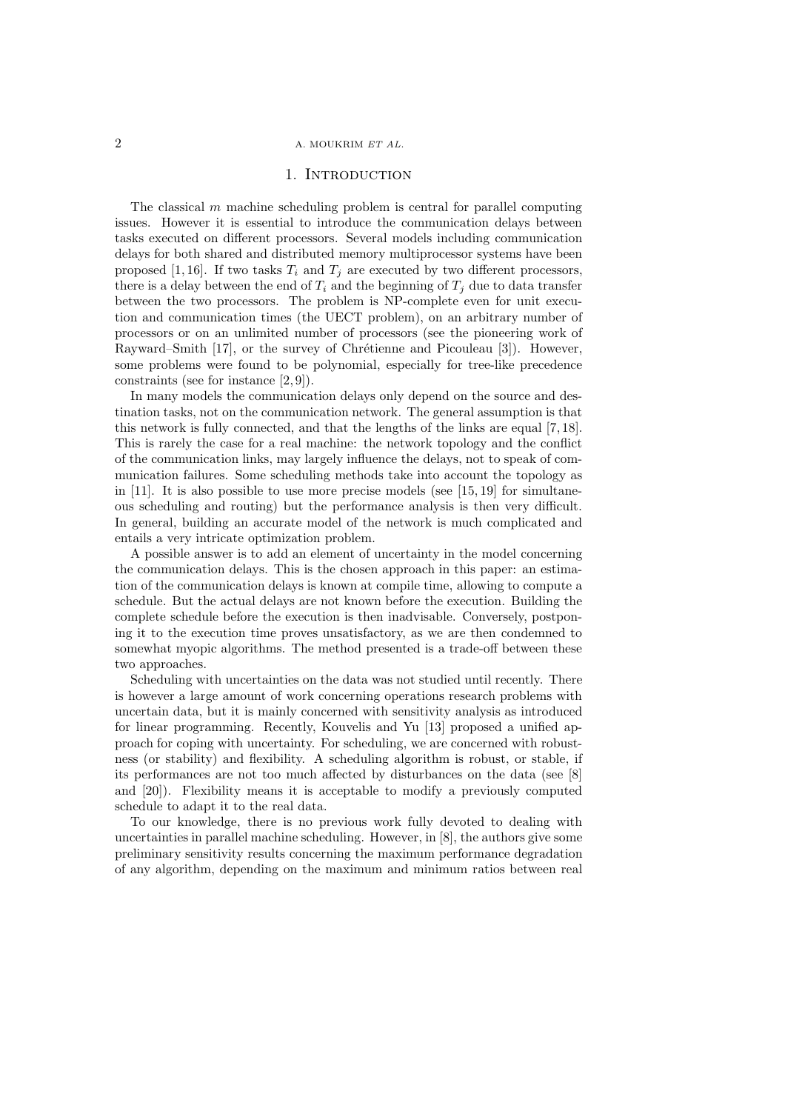### 2 A. MOUKRIM *ET AL.*

### 1. INTRODUCTION

The classical  $m$  machine scheduling problem is central for parallel computing issues. However it is essential to introduce the communication delays between tasks executed on different processors. Several models including communication delays for both shared and distributed memory multiprocessor systems have been proposed [1, 16]. If two tasks  $T_i$  and  $T_j$  are executed by two different processors, there is a delay between the end of  $T_i$  and the beginning of  $T_j$  due to data transfer between the two processors. The problem is NP-complete even for unit execution and communication times (the UECT problem), on an arbitrary number of processors or on an unlimited number of processors (see the pioneering work of Rayward–Smith  $[17]$ , or the survey of Chrétienne and Picouleau  $[3]$ ). However, some problems were found to be polynomial, especially for tree-like precedence constraints (see for instance [2, 9]).

In many models the communication delays only depend on the source and destination tasks, not on the communication network. The general assumption is that this network is fully connected, and that the lengths of the links are equal [7, 18]. This is rarely the case for a real machine: the network topology and the conflict of the communication links, may largely influence the delays, not to speak of communication failures. Some scheduling methods take into account the topology as in [11]. It is also possible to use more precise models (see [15, 19] for simultaneous scheduling and routing) but the performance analysis is then very difficult. In general, building an accurate model of the network is much complicated and entails a very intricate optimization problem.

A possible answer is to add an element of uncertainty in the model concerning the communication delays. This is the chosen approach in this paper: an estimation of the communication delays is known at compile time, allowing to compute a schedule. But the actual delays are not known before the execution. Building the complete schedule before the execution is then inadvisable. Conversely, postponing it to the execution time proves unsatisfactory, as we are then condemned to somewhat myopic algorithms. The method presented is a trade-off between these two approaches.

Scheduling with uncertainties on the data was not studied until recently. There is however a large amount of work concerning operations research problems with uncertain data, but it is mainly concerned with sensitivity analysis as introduced for linear programming. Recently, Kouvelis and Yu [13] proposed a unified approach for coping with uncertainty. For scheduling, we are concerned with robustness (or stability) and flexibility. A scheduling algorithm is robust, or stable, if its performances are not too much affected by disturbances on the data (see [8] and [20]). Flexibility means it is acceptable to modify a previously computed schedule to adapt it to the real data.

To our knowledge, there is no previous work fully devoted to dealing with uncertainties in parallel machine scheduling. However, in [8], the authors give some preliminary sensitivity results concerning the maximum performance degradation of any algorithm, depending on the maximum and minimum ratios between real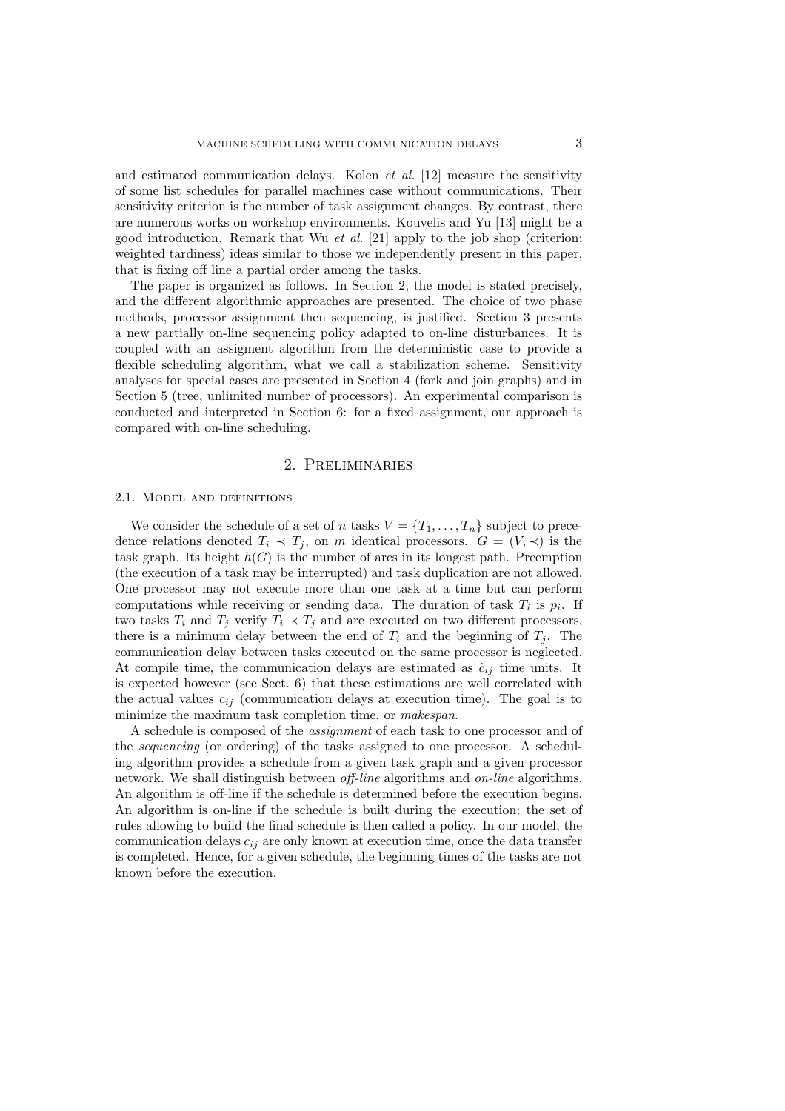and estimated communication delays. Kolen *et al.* [12] measure the sensitivity of some list schedules for parallel machines case without communications. Their sensitivity criterion is the number of task assignment changes. By contrast, there are numerous works on workshop environments. Kouvelis and Yu [13] might be a good introduction. Remark that Wu *et al.* [21] apply to the job shop (criterion: weighted tardiness) ideas similar to those we independently present in this paper, that is fixing off line a partial order among the tasks.

The paper is organized as follows. In Section 2, the model is stated precisely, and the different algorithmic approaches are presented. The choice of two phase methods, processor assignment then sequencing, is justified. Section 3 presents a new partially on-line sequencing policy adapted to on-line disturbances. It is coupled with an assigment algorithm from the deterministic case to provide a flexible scheduling algorithm, what we call a stabilization scheme. Sensitivity analyses for special cases are presented in Section 4 (fork and join graphs) and in Section 5 (tree, unlimited number of processors). An experimental comparison is conducted and interpreted in Section 6: for a fixed assignment, our approach is compared with on-line scheduling.

# 2. Preliminaries

#### 2.1. Model and definitions

We consider the schedule of a set of n tasks  $V = \{T_1, \ldots, T_n\}$  subject to precedence relations denoted  $T_i \prec T_j$ , on m identical processors.  $G = (V, \prec)$  is the task graph. Its height  $h(G)$  is the number of arcs in its longest path. Preemption (the execution of a task may be interrupted) and task duplication are not allowed. One processor may not execute more than one task at a time but can perform computations while receiving or sending data. The duration of task  $T_i$  is  $p_i$ . If two tasks  $T_i$  and  $T_j$  verify  $T_i \prec T_j$  and are executed on two different processors, there is a minimum delay between the end of  $T_i$  and the beginning of  $T_j$ . The communication delay between tasks executed on the same processor is neglected. At compile time, the communication delays are estimated as  $\tilde{c}_{ij}$  time units. It is expected however (see Sect. 6) that these estimations are well correlated with the actual values  $c_{ij}$  (communication delays at execution time). The goal is to minimize the maximum task completion time, or *makespan*.

A schedule is composed of the *assignment* of each task to one processor and of the *sequencing* (or ordering) of the tasks assigned to one processor. A scheduling algorithm provides a schedule from a given task graph and a given processor network. We shall distinguish between *off-line* algorithms and *on-line* algorithms. An algorithm is off-line if the schedule is determined before the execution begins. An algorithm is on-line if the schedule is built during the execution; the set of rules allowing to build the final schedule is then called a policy. In our model, the communication delays c*ij* are only known at execution time, once the data transfer is completed. Hence, for a given schedule, the beginning times of the tasks are not known before the execution.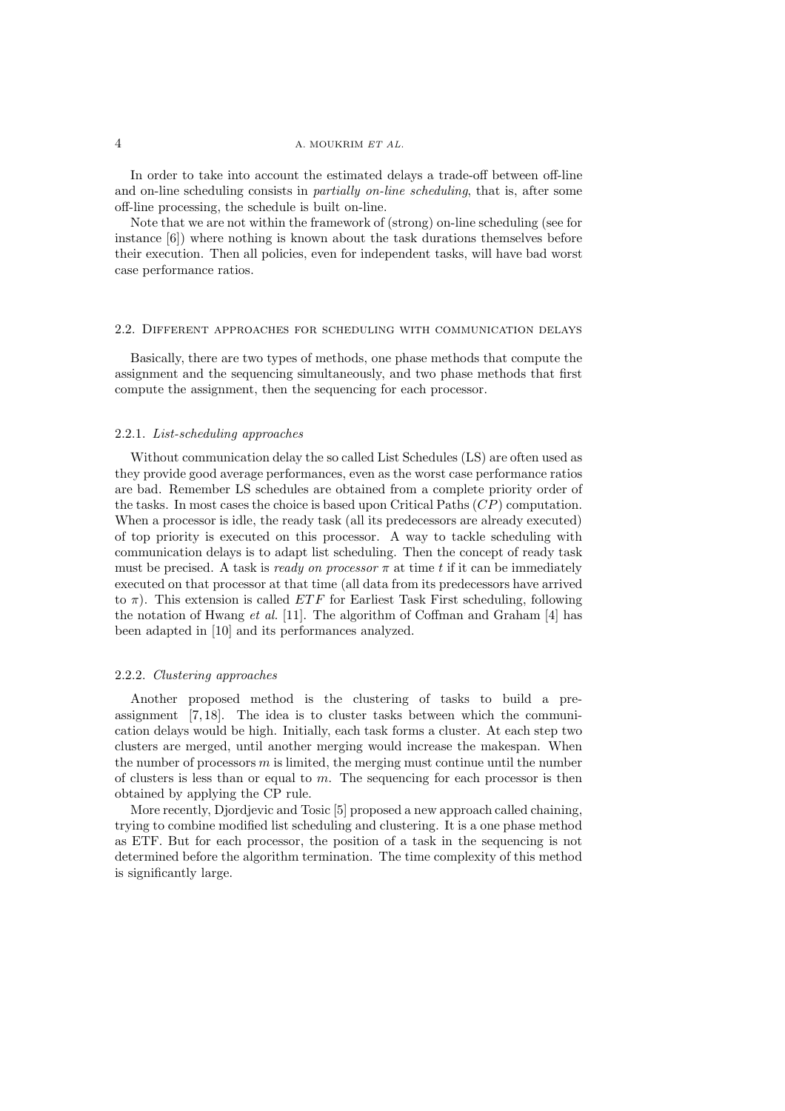### 4 A. MOUKRIM *ET AL.*

In order to take into account the estimated delays a trade-off between off-line and on-line scheduling consists in *partially on-line scheduling*, that is, after some off-line processing, the schedule is built on-line.

Note that we are not within the framework of (strong) on-line scheduling (see for instance [6]) where nothing is known about the task durations themselves before their execution. Then all policies, even for independent tasks, will have bad worst case performance ratios.

#### 2.2. Different approaches for scheduling with communication delays

Basically, there are two types of methods, one phase methods that compute the assignment and the sequencing simultaneously, and two phase methods that first compute the assignment, then the sequencing for each processor.

#### 2.2.1. *List-scheduling approaches*

Without communication delay the so called List Schedules (LS) are often used as they provide good average performances, even as the worst case performance ratios are bad. Remember LS schedules are obtained from a complete priority order of the tasks. In most cases the choice is based upon Critical Paths  $(CP)$  computation. When a processor is idle, the ready task (all its predecessors are already executed) of top priority is executed on this processor. A way to tackle scheduling with communication delays is to adapt list scheduling. Then the concept of ready task must be precised. A task is *ready on processor*  $\pi$  at time t if it can be immediately executed on that processor at that time (all data from its predecessors have arrived to  $\pi$ ). This extension is called *ETF* for Earliest Task First scheduling, following the notation of Hwang *et al.* [11]. The algorithm of Coffman and Graham [4] has been adapted in [10] and its performances analyzed.

#### 2.2.2. *Clustering approaches*

Another proposed method is the clustering of tasks to build a preassignment [7, 18]. The idea is to cluster tasks between which the communication delays would be high. Initially, each task forms a cluster. At each step two clusters are merged, until another merging would increase the makespan. When the number of processors  $m$  is limited, the merging must continue until the number of clusters is less than or equal to  $m$ . The sequencing for each processor is then obtained by applying the CP rule.

More recently, Djordjevic and Tosic [5] proposed a new approach called chaining, trying to combine modified list scheduling and clustering. It is a one phase method as ETF. But for each processor, the position of a task in the sequencing is not determined before the algorithm termination. The time complexity of this method is significantly large.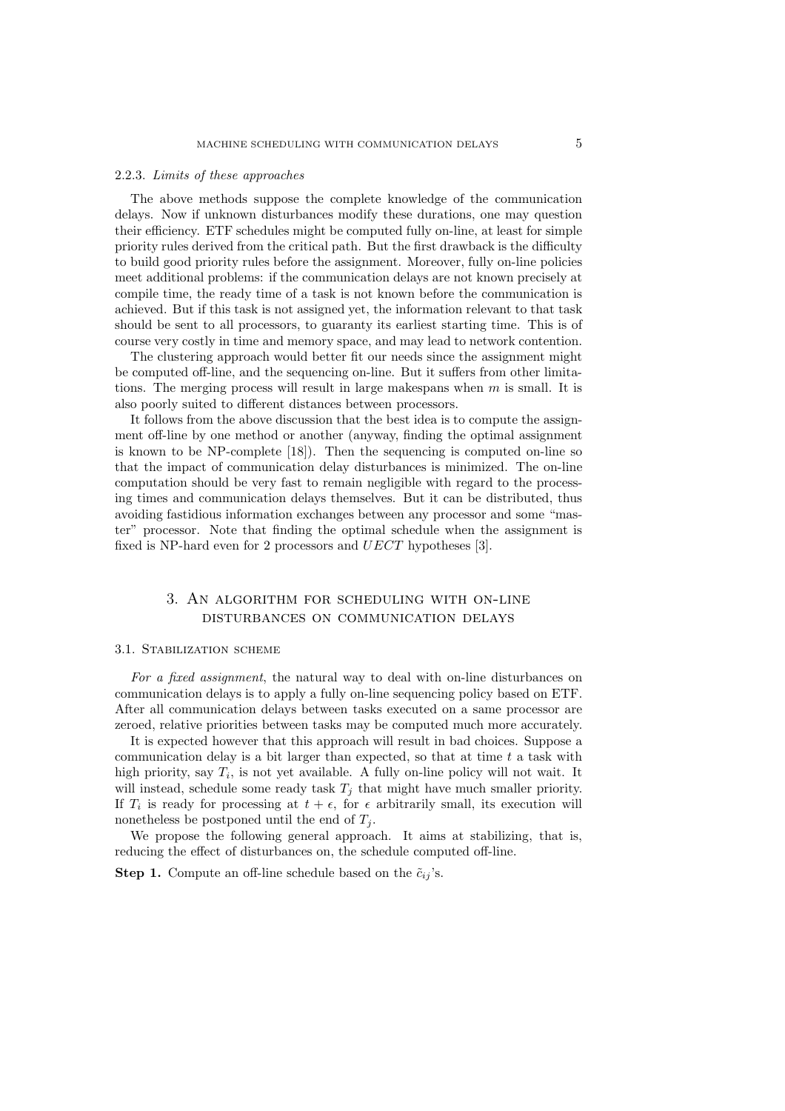#### 2.2.3. *Limits of these approaches*

The above methods suppose the complete knowledge of the communication delays. Now if unknown disturbances modify these durations, one may question their efficiency. ETF schedules might be computed fully on-line, at least for simple priority rules derived from the critical path. But the first drawback is the difficulty to build good priority rules before the assignment. Moreover, fully on-line policies meet additional problems: if the communication delays are not known precisely at compile time, the ready time of a task is not known before the communication is achieved. But if this task is not assigned yet, the information relevant to that task should be sent to all processors, to guaranty its earliest starting time. This is of course very costly in time and memory space, and may lead to network contention.

The clustering approach would better fit our needs since the assignment might be computed off-line, and the sequencing on-line. But it suffers from other limitations. The merging process will result in large makespans when  $m$  is small. It is also poorly suited to different distances between processors.

It follows from the above discussion that the best idea is to compute the assignment off-line by one method or another (anyway, finding the optimal assignment is known to be NP-complete [18]). Then the sequencing is computed on-line so that the impact of communication delay disturbances is minimized. The on-line computation should be very fast to remain negligible with regard to the processing times and communication delays themselves. But it can be distributed, thus avoiding fastidious information exchanges between any processor and some "master" processor. Note that finding the optimal schedule when the assignment is fixed is NP-hard even for 2 processors and  $UECT$  hypotheses [3].

# 3. An algorithm for scheduling with on-line disturbances on communication delays

#### 3.1. Stabilization scheme

*For a fixed assignment*, the natural way to deal with on-line disturbances on communication delays is to apply a fully on-line sequencing policy based on ETF. After all communication delays between tasks executed on a same processor are zeroed, relative priorities between tasks may be computed much more accurately.

It is expected however that this approach will result in bad choices. Suppose a communication delay is a bit larger than expected, so that at time  $t$  a task with high priority, say T*i*, is not yet available. A fully on-line policy will not wait. It will instead, schedule some ready task  $T_j$  that might have much smaller priority. If  $T_i$  is ready for processing at  $t + \epsilon$ , for  $\epsilon$  arbitrarily small, its execution will nonetheless be postponed until the end of T*j*.

We propose the following general approach. It aims at stabilizing, that is, reducing the effect of disturbances on, the schedule computed off-line.

**Step 1.** Compute an off-line schedule based on the  $\tilde{c}_{ij}$ 's.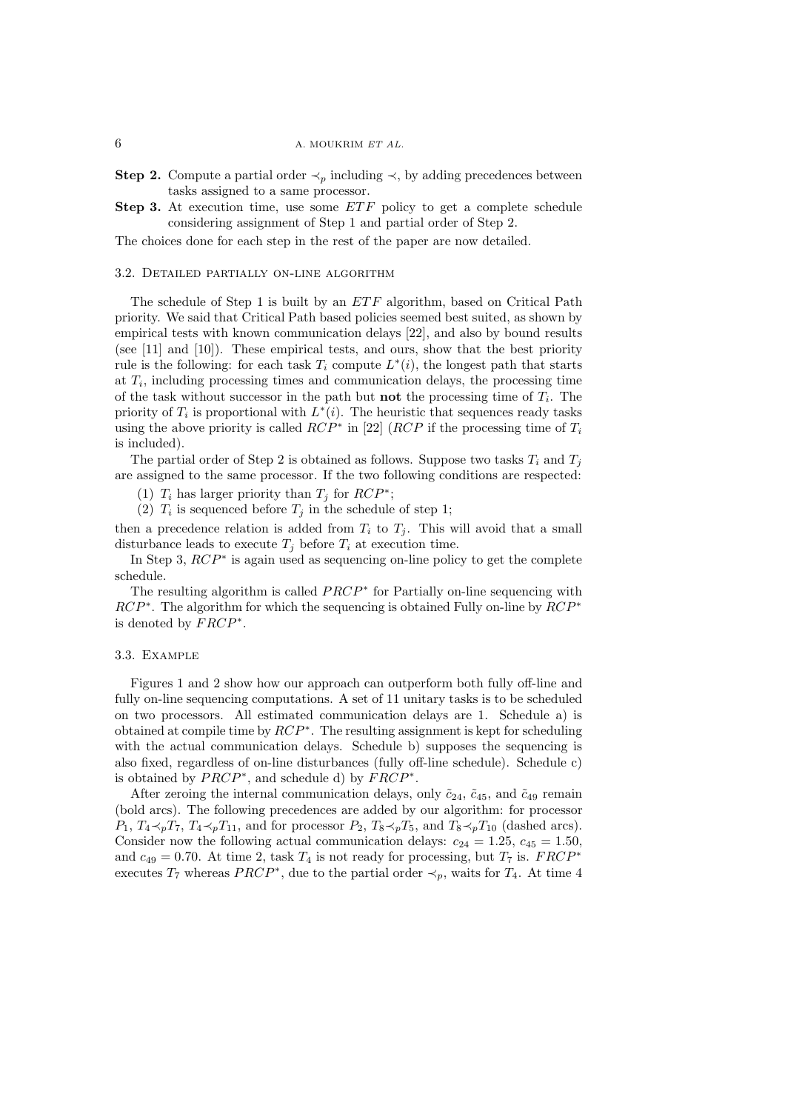- **Step 2.** Compute a partial order  $\prec_p$  including  $\prec$ , by adding precedences between tasks assigned to a same processor.
- **Step 3.** At execution time, use some *ETF* policy to get a complete schedule considering assignment of Step 1 and partial order of Step 2.

The choices done for each step in the rest of the paper are now detailed.

#### 3.2. Detailed partially on-line algorithm

The schedule of Step 1 is built by an  $ETF$  algorithm, based on Critical Path priority. We said that Critical Path based policies seemed best suited, as shown by empirical tests with known communication delays [22], and also by bound results (see [11] and [10]). These empirical tests, and ours, show that the best priority rule is the following: for each task  $T_i$  compute  $L^*(i)$ , the longest path that starts at  $T_i$ , including processing times and communication delays, the processing time of the task without successor in the path but **not** the processing time of T*i*. The priority of  $T_i$  is proportional with  $L^*(i)$ . The heuristic that sequences ready tasks using the above priority is called  $RCP^*$  in [22] ( $RCP$  if the processing time of  $T_i$ is included).

The partial order of Step 2 is obtained as follows. Suppose two tasks  $T_i$  and  $T_j$ are assigned to the same processor. If the two following conditions are respected:

(1)  $T_i$  has larger priority than  $T_j$  for  $RCP^*$ ;

(2)  $T_i$  is sequenced before  $T_j$  in the schedule of step 1;

then a precedence relation is added from  $T_i$  to  $T_j$ . This will avoid that a small disturbance leads to execute  $T_j$  before  $T_i$  at execution time.

In Step 3, RCP<sup>∗</sup> is again used as sequencing on-line policy to get the complete schedule.

The resulting algorithm is called  $PRCP^*$  for Partially on-line sequencing with  $RCP^*$ . The algorithm for which the sequencing is obtained Fully on-line by  $RCP^*$ is denoted by  $F R C P^*$ .

#### 3.3. Example

Figures 1 and 2 show how our approach can outperform both fully off-line and fully on-line sequencing computations. A set of 11 unitary tasks is to be scheduled on two processors. All estimated communication delays are 1. Schedule a) is obtained at compile time by  $RCP^*$ . The resulting assignment is kept for scheduling with the actual communication delays. Schedule b) supposes the sequencing is also fixed, regardless of on-line disturbances (fully off-line schedule). Schedule c) is obtained by  $PRCP^*$ , and schedule d) by  $FRCP^*$ .

After zeroing the internal communication delays, only  $\tilde{c}_{24}$ ,  $\tilde{c}_{45}$ , and  $\tilde{c}_{49}$  remain (bold arcs). The following precedences are added by our algorithm: for processor  $P_1, T_4 \prec_p T_7, T_4 \prec_p T_{11}$ , and for processor  $P_2, T_8 \prec_p T_5$ , and  $T_8 \prec_p T_{10}$  (dashed arcs). Consider now the following actual communication delays:  $c_{24} = 1.25$ ,  $c_{45} = 1.50$ , and  $c_{49} = 0.70$ . At time 2, task  $T_4$  is not ready for processing, but  $T_7$  is.  $FRCP^*$ executes  $T_7$  whereas  $PRCP^*$ , due to the partial order  $\prec_p$ , waits for  $T_4$ . At time 4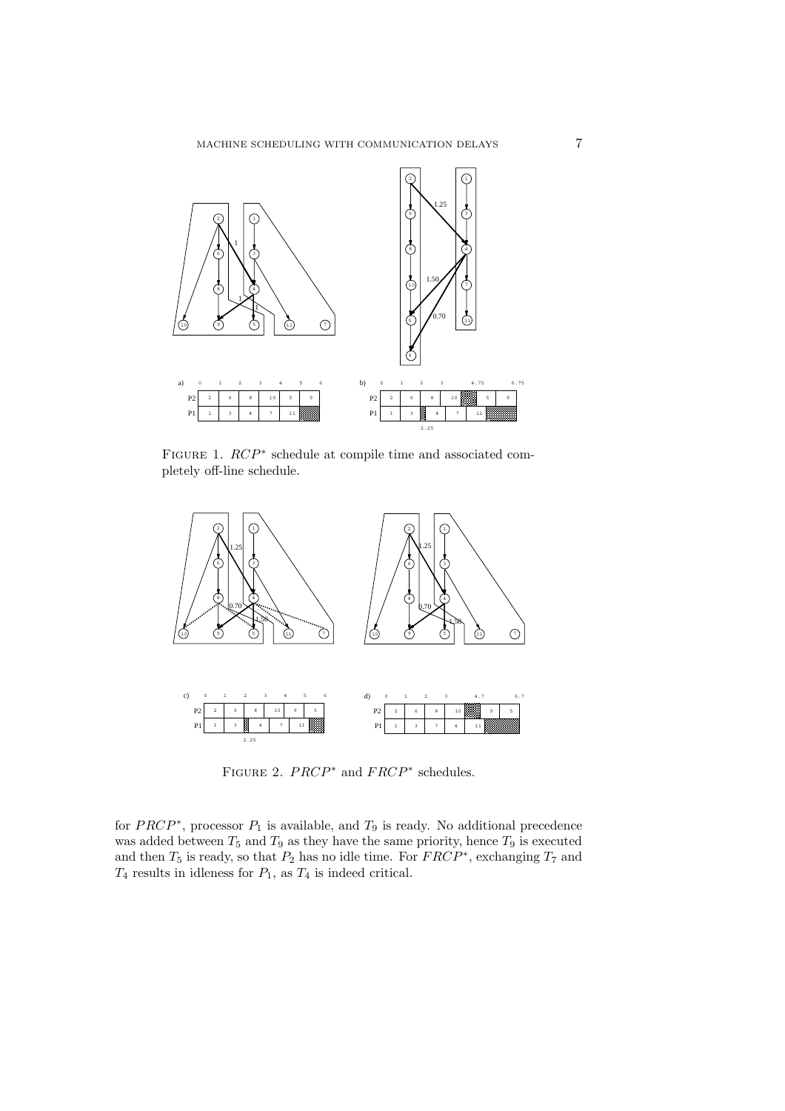

Figure 1. RCP<sup>∗</sup> schedule at compile time and associated completely off-line schedule.



FIGURE 2.  $PRCP^*$  and  $FRCP^*$  schedules.

for  $PRCP^*$ , processor  $P_1$  is available, and  $T_9$  is ready. No additional precedence was added between  $T_5$  and  $T_9$  as they have the same priority, hence  $T_9$  is executed and then  $T_5$  is ready, so that  $P_2$  has no idle time. For  $FRCP^*$ , exchanging  $T_7$  and  $T_4$  results in idleness for  $P_1$ , as  $T_4$  is indeed critical.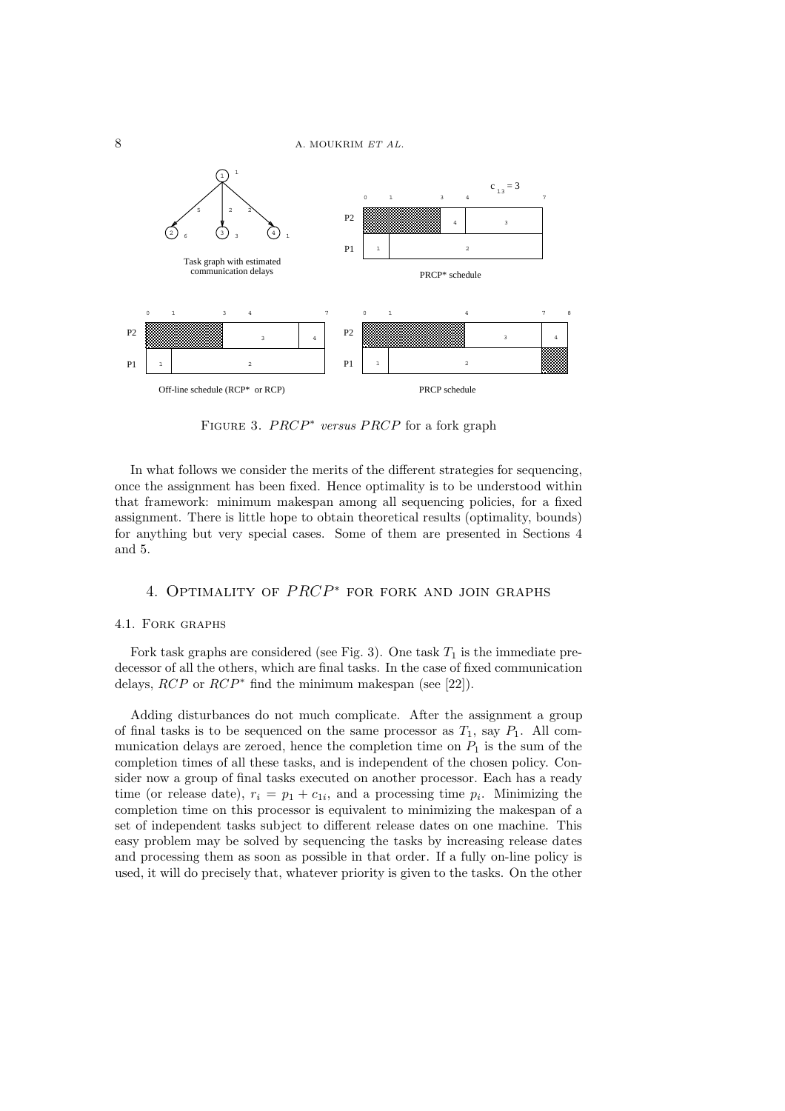

FIGURE 3. PRCP<sup>∗</sup> versus PRCP for a fork graph

In what follows we consider the merits of the different strategies for sequencing, once the assignment has been fixed. Hence optimality is to be understood within that framework: minimum makespan among all sequencing policies, for a fixed assignment. There is little hope to obtain theoretical results (optimality, bounds) for anything but very special cases. Some of them are presented in Sections 4 and 5.

# 4. Optimality of *P RCP*<sup>∗</sup> for fork and join graphs

#### 4.1. Fork graphs

Fork task graphs are considered (see Fig. 3). One task  $T_1$  is the immediate predecessor of all the others, which are final tasks. In the case of fixed communication delays,  $RCP$  or  $RCP^*$  find the minimum makespan (see [22]).

Adding disturbances do not much complicate. After the assignment a group of final tasks is to be sequenced on the same processor as  $T_1$ , say  $P_1$ . All communication delays are zeroed, hence the completion time on  $P_1$  is the sum of the completion times of all these tasks, and is independent of the chosen policy. Consider now a group of final tasks executed on another processor. Each has a ready time (or release date),  $r_i = p_1 + c_{1i}$ , and a processing time  $p_i$ . Minimizing the completion time on this processor is equivalent to minimizing the makespan of a set of independent tasks subject to different release dates on one machine. This easy problem may be solved by sequencing the tasks by increasing release dates and processing them as soon as possible in that order. If a fully on-line policy is used, it will do precisely that, whatever priority is given to the tasks. On the other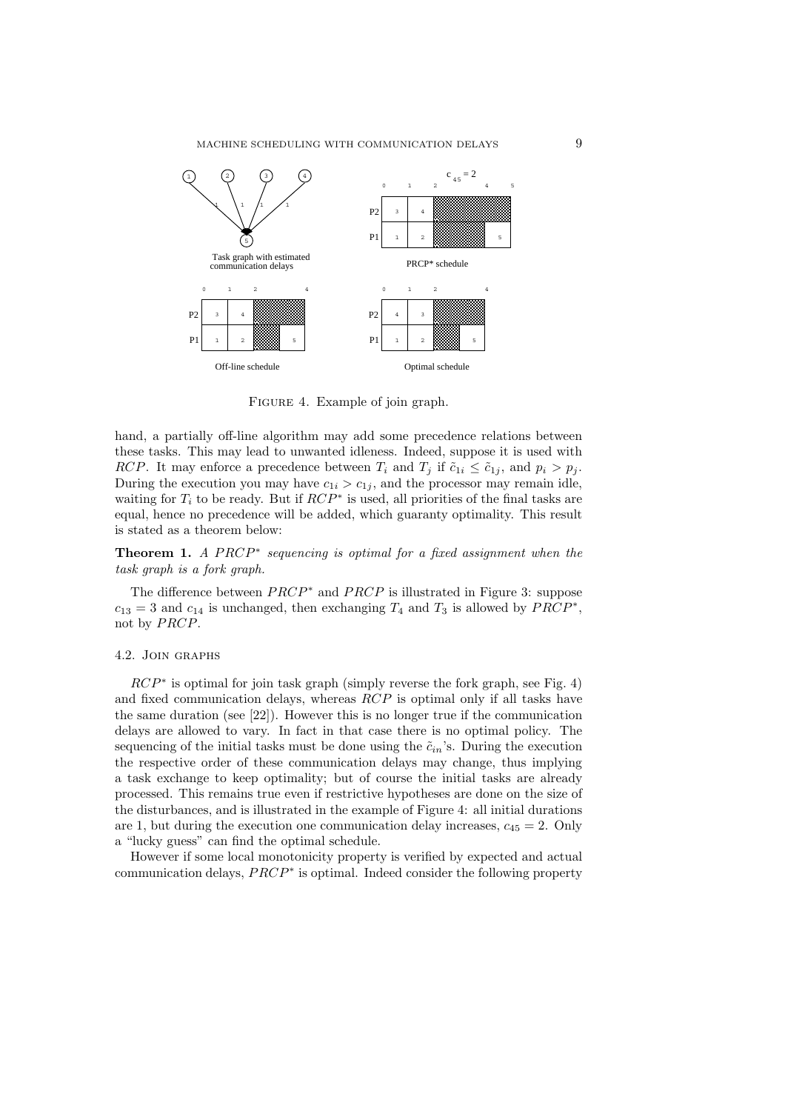

Figure 4. Example of join graph.

hand, a partially off-line algorithm may add some precedence relations between these tasks. This may lead to unwanted idleness. Indeed, suppose it is used with RCP. It may enforce a precedence between  $T_i$  and  $T_j$  if  $\tilde{c}_{1i} \leq \tilde{c}_{1j}$ , and  $p_i > p_j$ . During the execution you may have  $c_{1i} > c_{1j}$ , and the processor may remain idle, waiting for  $T_i$  to be ready. But if  $RCP^*$  is used, all priorities of the final tasks are equal, hence no precedence will be added, which guaranty optimality. This result is stated as a theorem below:

**Theorem 1.** *A* PRCP<sup>∗</sup> *sequencing is optimal for a fixed assignment when the task graph is a fork graph.*

The difference between  $PRCP^*$  and  $PRCP$  is illustrated in Figure 3: suppose  $c_{13} = 3$  and  $c_{14}$  is unchanged, then exchanging  $T_4$  and  $T_3$  is allowed by  $PRCP^*$ , not by *PRCP*.

#### 4.2. Join graphs

 $RCP^*$  is optimal for join task graph (simply reverse the fork graph, see Fig. 4) and fixed communication delays, whereas RCP is optimal only if all tasks have the same duration (see [22]). However this is no longer true if the communication delays are allowed to vary. In fact in that case there is no optimal policy. The sequencing of the initial tasks must be done using the  $\tilde{c}_{in}$ 's. During the execution the respective order of these communication delays may change, thus implying a task exchange to keep optimality; but of course the initial tasks are already processed. This remains true even if restrictive hypotheses are done on the size of the disturbances, and is illustrated in the example of Figure 4: all initial durations are 1, but during the execution one communication delay increases,  $c_{45} = 2$ . Only a "lucky guess" can find the optimal schedule.

However if some local monotonicity property is verified by expected and actual communication delays,  $PRCP*$  is optimal. Indeed consider the following property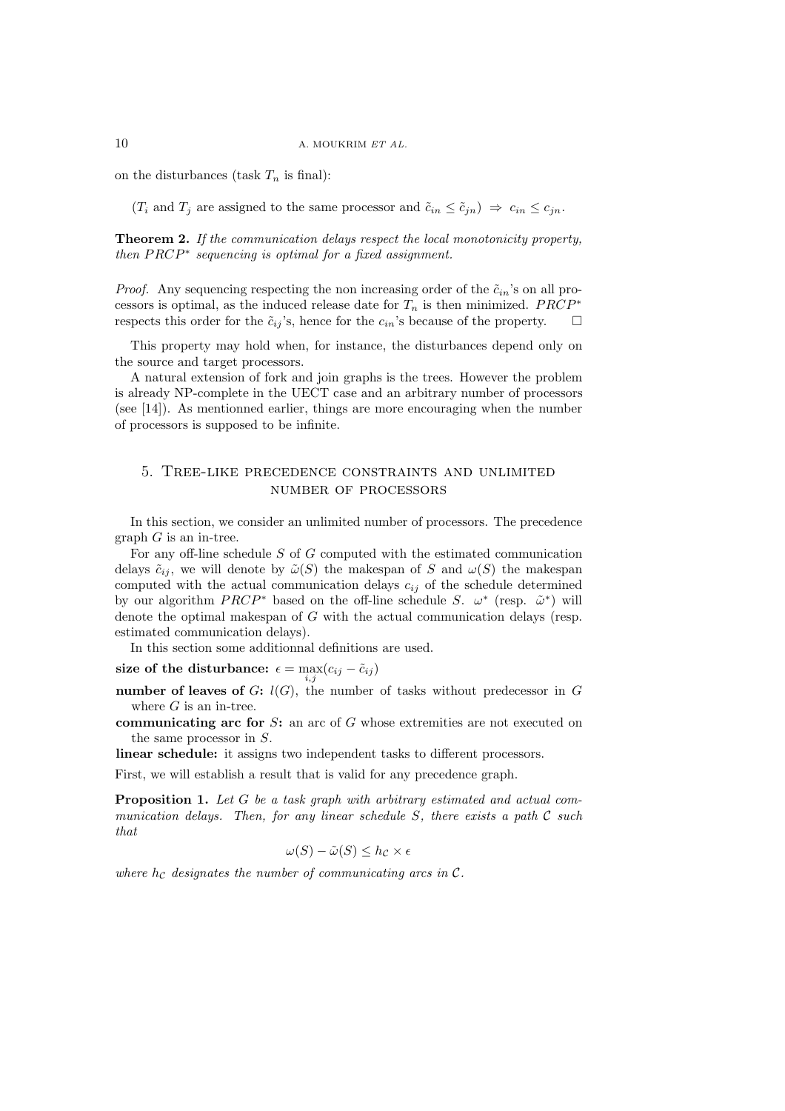on the disturbances (task  $T_n$  is final):

 $(T_i$  and  $T_j$  are assigned to the same processor and  $\tilde{c}_{in} \leq \tilde{c}_{in}$   $\Rightarrow$   $c_{in} \leq c_{in}$ .

**Theorem 2.** *If the communication delays respect the local monotonicity property, then* PRCP<sup>∗</sup> *sequencing is optimal for a fixed assignment.* 

*Proof.* Any sequencing respecting the non increasing order of the  $\tilde{c}_{in}$ 's on all processors is optimal, as the induced release date for  $T_n$  is then minimized.  $PRCP^*$ respects this order for the  $\tilde{c}_{ij}$ 's, hence for the  $c_{in}$ 's because of the property.  $\Box$ 

This property may hold when, for instance, the disturbances depend only on the source and target processors.

A natural extension of fork and join graphs is the trees. However the problem is already NP-complete in the UECT case and an arbitrary number of processors (see [14]). As mentionned earlier, things are more encouraging when the number of processors is supposed to be infinite.

# 5. Tree-like precedence constraints and unlimited number of processors

In this section, we consider an unlimited number of processors. The precedence graph  $G$  is an in-tree.

For any off-line schedule  $S$  of  $G$  computed with the estimated communication delays  $\tilde{c}_{ij}$ , we will denote by  $\tilde{\omega}(S)$  the makespan of S and  $\omega(S)$  the makespan computed with the actual communication delays  $c_{ij}$  of the schedule determined by our algorithm  $PRCP^*$  based on the off-line schedule S.  $\omega^*$  (resp.  $\tilde{\omega}^*$ ) will denote the optimal makespan of G with the actual communication delays (resp. estimated communication delays).

In this section some additionnal definitions are used.

 $\textbf{size of the disturbance: } \epsilon = \max_{i,j} (c_{ij} - \tilde{c}_{ij})$ 

- **number of leaves of**  $G: l(G)$ **, the number of tasks without predecessor in**  $G$ where  $G$  is an in-tree.
- **communicating arc for** S: an arc of G whose extremities are not executed on the same processor in S.

**linear schedule:** it assigns two independent tasks to different processors.

First, we will establish a result that is valid for any precedence graph.

**Proposition 1.** *Let* G *be a task graph with arbitrary estimated and actual communication delays. Then, for any linear schedule* S*, there exists a path* C *such that*

$$
\omega(S) - \tilde{\omega}(S) \le h_{\mathcal{C}} \times \epsilon
$$

where  $h_{\mathcal{C}}$  designates the number of communicating arcs in  $\mathcal{C}$ .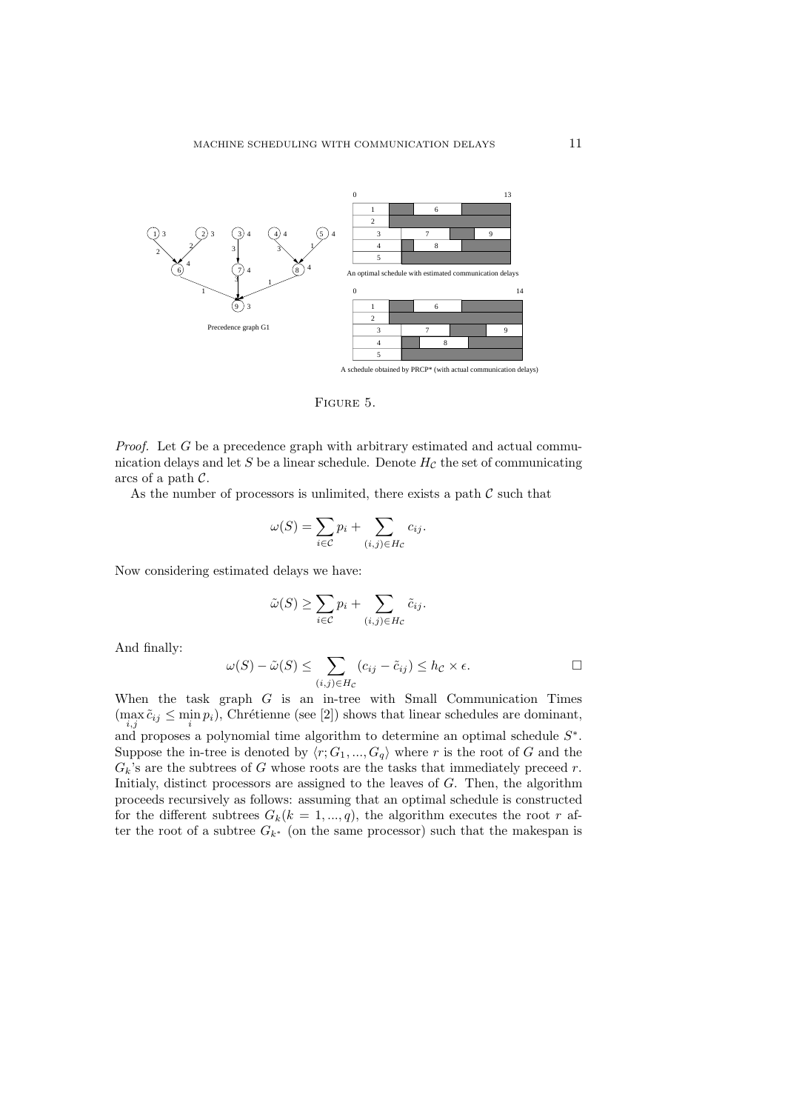

A schedule obtained by PRCP\* (with actual communication delays)

#### Figure 5.

*Proof.* Let G be a precedence graph with arbitrary estimated and actual communication delays and let S be a linear schedule. Denote  $H<sub>C</sub>$  the set of communicating arcs of a path  $\mathcal{C}$ .

As the number of processors is unlimited, there exists a path  $\mathcal C$  such that

$$
\omega(S) = \sum_{i \in C} p_i + \sum_{(i,j) \in H_C} c_{ij}.
$$

Now considering estimated delays we have:

$$
\tilde{\omega}(S) \ge \sum_{i \in C} p_i + \sum_{(i,j) \in H_C} \tilde{c}_{ij}.
$$

And finally:

$$
\omega(S) - \tilde{\omega}(S) \le \sum_{(i,j)\in H_C} (c_{ij} - \tilde{c}_{ij}) \le h_C \times \epsilon.
$$

When the task graph  $G$  is an in-tree with Small Communication Times  $(\max_{i,j} \tilde{c}_{ij} \leq \min_i p_i)$ , Chrétienne (see [2]) shows that linear schedules are dominant, and proposes a polynomial time algorithm to determine an optimal schedule S∗. Suppose the in-tree is denoted by  $\langle r; G_1, ..., G_q \rangle$  where r is the root of G and the  $G_k$ 's are the subtrees of G whose roots are the tasks that immediately preceed r. Initialy, distinct processors are assigned to the leaves of G. Then, the algorithm proceeds recursively as follows: assuming that an optimal schedule is constructed for the different subtrees  $G_k(k = 1, ..., q)$ , the algorithm executes the root r after the root of a subtree  $G_{k^*}$  (on the same processor) such that the makespan is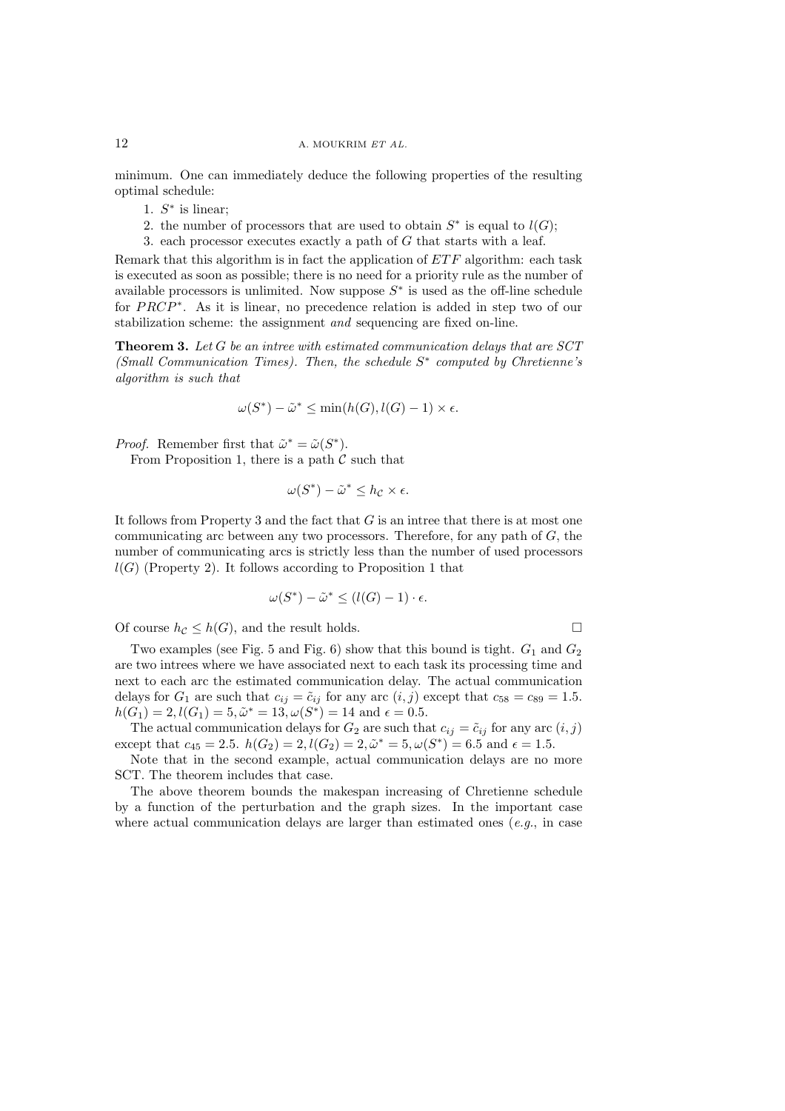12 A. MOUKRIM *ET AL.*

minimum. One can immediately deduce the following properties of the resulting optimal schedule:

- 1.  $S^*$  is linear;
- 2. the number of processors that are used to obtain  $S^*$  is equal to  $l(G)$ ;
- 3. each processor executes exactly a path of  $G$  that starts with a leaf.

Remark that this algorithm is in fact the application of ETF algorithm: each task is executed as soon as possible; there is no need for a priority rule as the number of available processors is unlimited. Now suppose  $S^*$  is used as the off-line schedule for  $PRCP^*$ . As it is linear, no precedence relation is added in step two of our stabilization scheme: the assignment *and* sequencing are fixed on-line.

**Theorem 3.** *Let* G *be an intree with estimated communication delays that are SCT (Small Communication Times). Then, the schedule* S<sup>∗</sup> *computed by Chretienne's algorithm is such that*

$$
\omega(S^*) - \tilde{\omega}^* \le \min(h(G), l(G) - 1) \times \epsilon.
$$

*Proof.* Remember first that  $\tilde{\omega}^* = \tilde{\omega}(S^*)$ .

From Proposition 1, there is a path  $\mathcal C$  such that

$$
\omega(S^*) - \tilde{\omega}^* \le h_{\mathcal{C}} \times \epsilon.
$$

It follows from Property 3 and the fact that  $G$  is an intree that there is at most one communicating arc between any two processors. Therefore, for any path of  $G$ , the number of communicating arcs is strictly less than the number of used processors  $l(G)$  (Property 2). It follows according to Proposition 1 that

$$
\omega(S^*) - \tilde{\omega}^* \le (l(G) - 1) \cdot \epsilon.
$$

Of course  $h_c \leq h(G)$ , and the result holds.

Two examples (see Fig. 5 and Fig. 6) show that this bound is tight.  $G_1$  and  $G_2$ are two intrees where we have associated next to each task its processing time and next to each arc the estimated communication delay. The actual communication delays for  $G_1$  are such that  $c_{ij} = \tilde{c}_{ij}$  for any arc  $(i, j)$  except that  $c_{58} = c_{89} = 1.5$ .  $h(G_1) = 2, l(G_1) = 5, \tilde{\omega}^* = 13, \omega(S^*) = 14 \text{ and } \epsilon = 0.5.$ 

The actual communication delays for  $G_2$  are such that  $c_{ij} = \tilde{c}_{ij}$  for any arc  $(i, j)$ except that  $c_{45} = 2.5$ .  $h(G_2) = 2, l(G_2) = 2, \tilde{\omega}^* = 5, \omega(S^*) = 6.5$  and  $\epsilon = 1.5$ .

Note that in the second example, actual communication delays are no more SCT. The theorem includes that case.

The above theorem bounds the makespan increasing of Chretienne schedule by a function of the perturbation and the graph sizes. In the important case where actual communication delays are larger than estimated ones (*e.g.*, in case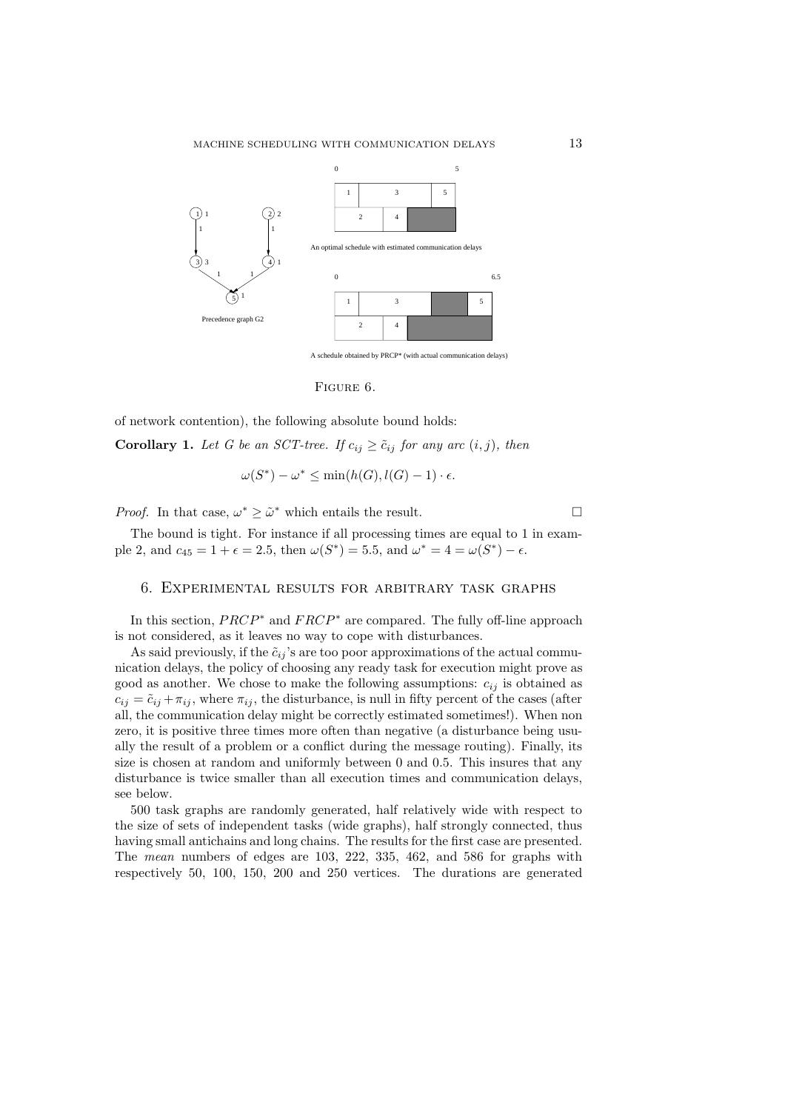

A schedule obtained by PRCP\* (with actual communication delays)

#### FIGURE 6.

of network contention), the following absolute bound holds:

**Corollary 1.** Let G be an SCT-tree. If  $c_{ij} \geq \tilde{c}_{ij}$  for any arc  $(i, j)$ , then

$$
\omega(S^*) - \omega^* \le \min(h(G), l(G) - 1) \cdot \epsilon.
$$

*Proof.* In that case,  $\omega^* \geq \tilde{\omega}^*$  which entails the result.

The bound is tight. For instance if all processing times are equal to 1 in example 2, and  $c_{45} = 1 + \epsilon = 2.5$ , then  $\omega(S^*) = 5.5$ , and  $\omega^* = 4 = \omega(S^*) - \epsilon$ .

#### 6. Experimental results for arbitrary task graphs

In this section,  $PRCP^*$  and  $FRCP^*$  are compared. The fully off-line approach is not considered, as it leaves no way to cope with disturbances.

As said previously, if the  $\tilde{c}_{ij}$ 's are too poor approximations of the actual communication delays, the policy of choosing any ready task for execution might prove as good as another. We chose to make the following assumptions:  $c_{ij}$  is obtained as  $c_{ij} = \tilde{c}_{ij} + \pi_{ij}$ , where  $\pi_{ij}$ , the disturbance, is null in fifty percent of the cases (after all, the communication delay might be correctly estimated sometimes!). When non zero, it is positive three times more often than negative (a disturbance being usually the result of a problem or a conflict during the message routing). Finally, its size is chosen at random and uniformly between 0 and 0.5. This insures that any disturbance is twice smaller than all execution times and communication delays, see below.

500 task graphs are randomly generated, half relatively wide with respect to the size of sets of independent tasks (wide graphs), half strongly connected, thus having small antichains and long chains. The results for the first case are presented. The *mean* numbers of edges are 103, 222, 335, 462, and 586 for graphs with respectively 50, 100, 150, 200 and 250 vertices. The durations are generated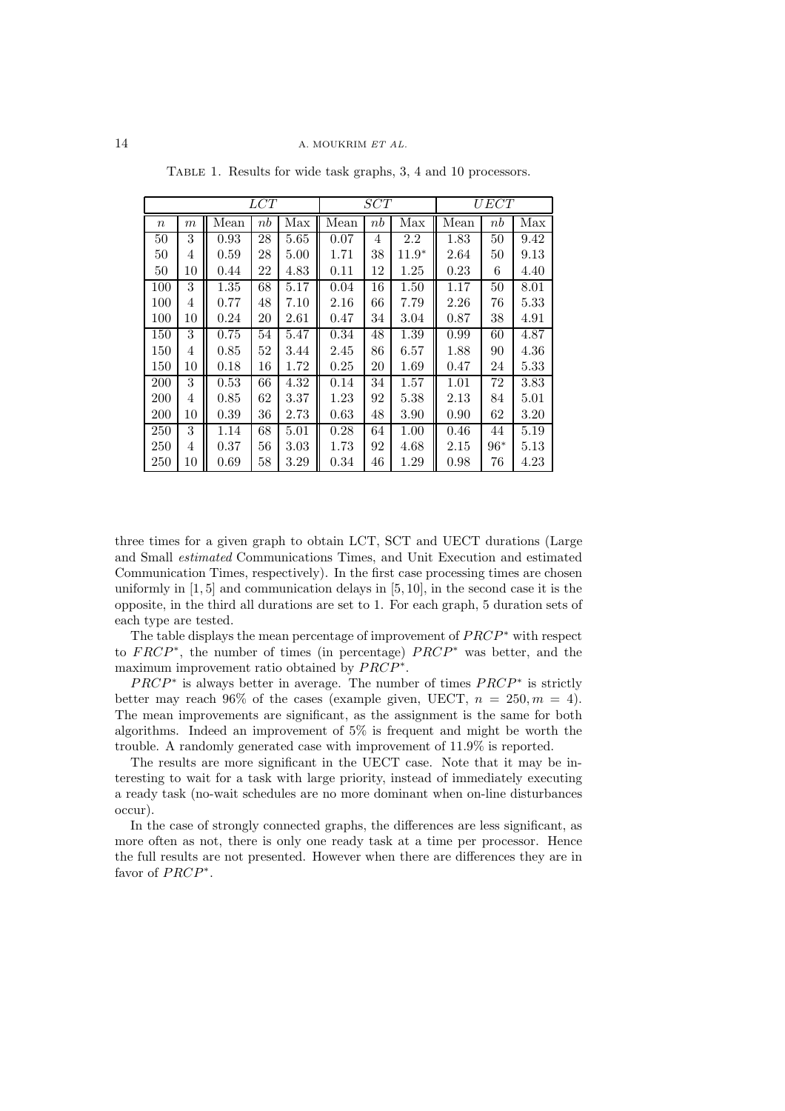| LCT              |                  |      |    | SCT  |      |    | UECT    |      |       |          |
|------------------|------------------|------|----|------|------|----|---------|------|-------|----------|
| $\boldsymbol{n}$ | $\boldsymbol{m}$ | Mean | nb | Max  | Mean | nb | Max     | Mean | nb    | Max      |
| 50               | 3                | 0.93 | 28 | 5.65 | 0.07 | 4  | 2.2     | 1.83 | 50    | 9.42     |
| 50               | 4                | 0.59 | 28 | 5.00 | 1.71 | 38 | $11.9*$ | 2.64 | 50    | 9.13     |
| 50               | 10               | 0.44 | 22 | 4.83 | 0.11 | 12 | 1.25    | 0.23 | 6     | 4.40     |
| 100              | 3                | 1.35 | 68 | 5.17 | 0.04 | 16 | 1.50    | 1.17 | 50    | 8.01     |
| 100              | 4                | 0.77 | 48 | 7.10 | 2.16 | 66 | 7.79    | 2.26 | 76    | $5.33\,$ |
| 100              | 10               | 0.24 | 20 | 2.61 | 0.47 | 34 | 3.04    | 0.87 | 38    | 4.91     |
| 150              | 3                | 0.75 | 54 | 5.47 | 0.34 | 48 | 1.39    | 0.99 | 60    | 4.87     |
| 150              | 4                | 0.85 | 52 | 3.44 | 2.45 | 86 | 6.57    | 1.88 | 90    | 4.36     |
| 150              | 10               | 0.18 | 16 | 1.72 | 0.25 | 20 | 1.69    | 0.47 | 24    | $5.33\,$ |
| 200              | 3                | 0.53 | 66 | 4.32 | 0.14 | 34 | 1.57    | 1.01 | 72    | 3.83     |
| 200              | 4                | 0.85 | 62 | 3.37 | 1.23 | 92 | 5.38    | 2.13 | 84    | $5.01\,$ |
| 200              | 10               | 0.39 | 36 | 2.73 | 0.63 | 48 | 3.90    | 0.90 | 62    | 3.20     |
| 250              | 3                | 1.14 | 68 | 5.01 | 0.28 | 64 | 1.00    | 0.46 | 44    | 5.19     |
| 250              | 4                | 0.37 | 56 | 3.03 | 1.73 | 92 | 4.68    | 2.15 | $96*$ | 5.13     |
| 250              | 10               | 0.69 | 58 | 3.29 | 0.34 | 46 | 1.29    | 0.98 | 76    | 4.23     |

TABLE 1. Results for wide task graphs, 3, 4 and 10 processors.

three times for a given graph to obtain LCT, SCT and UECT durations (Large and Small *estimated* Communications Times, and Unit Execution and estimated Communication Times, respectively). In the first case processing times are chosen uniformly in  $[1, 5]$  and communication delays in  $[5, 10]$ , in the second case it is the opposite, in the third all durations are set to 1. For each graph, 5 duration sets of each type are tested.

The table displays the mean percentage of improvement of  $PRCP^*$  with respect to  $F R C P^*$ , the number of times (in percentage)  $P R C P^*$  was better, and the maximum improvement ratio obtained by  $PRCP^*$ .

 $PRCP*$  is always better in average. The number of times  $PRCP*$  is strictly better may reach 96% of the cases (example given, UECT,  $n = 250, m = 4$ ). The mean improvements are significant, as the assignment is the same for both algorithms. Indeed an improvement of 5% is frequent and might be worth the trouble. A randomly generated case with improvement of 11.9% is reported.

The results are more significant in the UECT case. Note that it may be interesting to wait for a task with large priority, instead of immediately executing a ready task (no-wait schedules are no more dominant when on-line disturbances occur).

In the case of strongly connected graphs, the differences are less significant, as more often as not, there is only one ready task at a time per processor. Hence the full results are not presented. However when there are differences they are in favor of  $PRCP^*$ .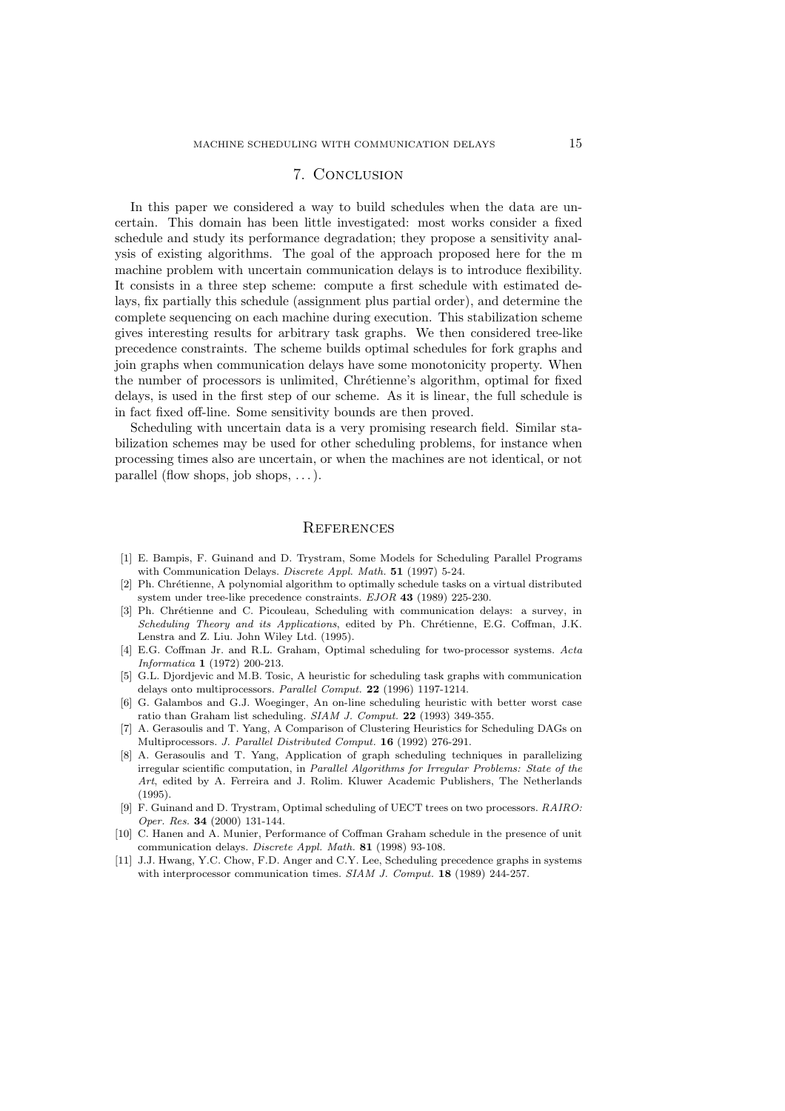## 7. Conclusion

In this paper we considered a way to build schedules when the data are uncertain. This domain has been little investigated: most works consider a fixed schedule and study its performance degradation; they propose a sensitivity analysis of existing algorithms. The goal of the approach proposed here for the m machine problem with uncertain communication delays is to introduce flexibility. It consists in a three step scheme: compute a first schedule with estimated delays, fix partially this schedule (assignment plus partial order), and determine the complete sequencing on each machine during execution. This stabilization scheme gives interesting results for arbitrary task graphs. We then considered tree-like precedence constraints. The scheme builds optimal schedules for fork graphs and join graphs when communication delays have some monotonicity property. When the number of processors is unlimited, Chrétienne's algorithm, optimal for fixed delays, is used in the first step of our scheme. As it is linear, the full schedule is in fact fixed off-line. Some sensitivity bounds are then proved.

Scheduling with uncertain data is a very promising research field. Similar stabilization schemes may be used for other scheduling problems, for instance when processing times also are uncertain, or when the machines are not identical, or not parallel (flow shops, job shops,  $\dots$ ).

### **REFERENCES**

- [1] E. Bampis, F. Guinand and D. Trystram, Some Models for Scheduling Parallel Programs with Communication Delays. *Discrete Appl. Math.* **51** (1997) 5-24.
- [2] Ph. Chrétienne, A polynomial algorithm to optimally schedule tasks on a virtual distributed system under tree-like precedence constraints. *EJOR* **43** (1989) 225-230.
- [3] Ph. Chrétienne and C. Picouleau, Scheduling with communication delays: a survey, in *Scheduling Theory and its Applications*, edited by Ph. Chrétienne, E.G. Coffman, J.K. Lenstra and Z. Liu. John Wiley Ltd. (1995).
- [4] E.G. Coffman Jr. and R.L. Graham, Optimal scheduling for two-processor systems. *Acta Informatica* **1** (1972) 200-213.
- [5] G.L. Djordjevic and M.B. Tosic, A heuristic for scheduling task graphs with communication delays onto multiprocessors. *Parallel Comput.* **22** (1996) 1197-1214.
- [6] G. Galambos and G.J. Woeginger, An on-line scheduling heuristic with better worst case ratio than Graham list scheduling. *SIAM J. Comput.* **22** (1993) 349-355.
- [7] A. Gerasoulis and T. Yang, A Comparison of Clustering Heuristics for Scheduling DAGs on Multiprocessors. *J. Parallel Distributed Comput.* **16** (1992) 276-291.
- [8] A. Gerasoulis and T. Yang, Application of graph scheduling techniques in parallelizing irregular scientific computation, in *Parallel Algorithms for Irregular Problems: State of the Art*, edited by A. Ferreira and J. Rolim. Kluwer Academic Publishers, The Netherlands (1995).
- [9] F. Guinand and D. Trystram, Optimal scheduling of UECT trees on two processors. *RAIRO: Oper. Res.* **34** (2000) 131-144.
- [10] C. Hanen and A. Munier, Performance of Coffman Graham schedule in the presence of unit communication delays. *Discrete Appl. Math.* **81** (1998) 93-108.
- [11] J.J. Hwang, Y.C. Chow, F.D. Anger and C.Y. Lee, Scheduling precedence graphs in systems with interprocessor communication times. *SIAM J. Comput.* **18** (1989) 244-257.